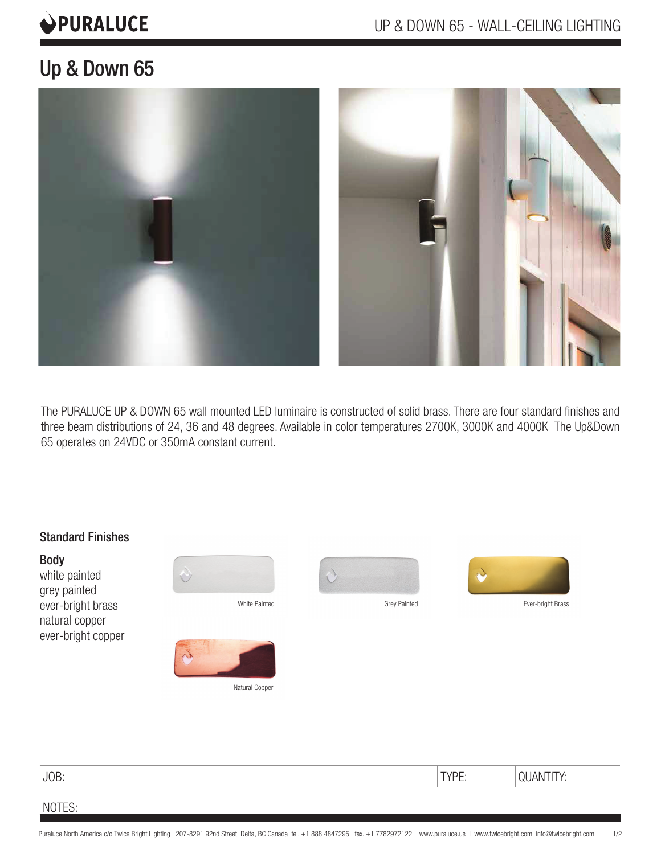# **OPURALUCE**

# Up & Down 65



The PURALUCE UP & DOWN 65 wall mounted LED luminaire is constructed of solid brass. There are four standard finishes and three beam distributions of 24, 36 and 48 degrees. Available in color temperatures 2700K, 3000K and 4000K The Up&Down 65 operates on 24VDC or 350mA constant current.



JOB: TYPE: QUANTITY:

## NOTES: